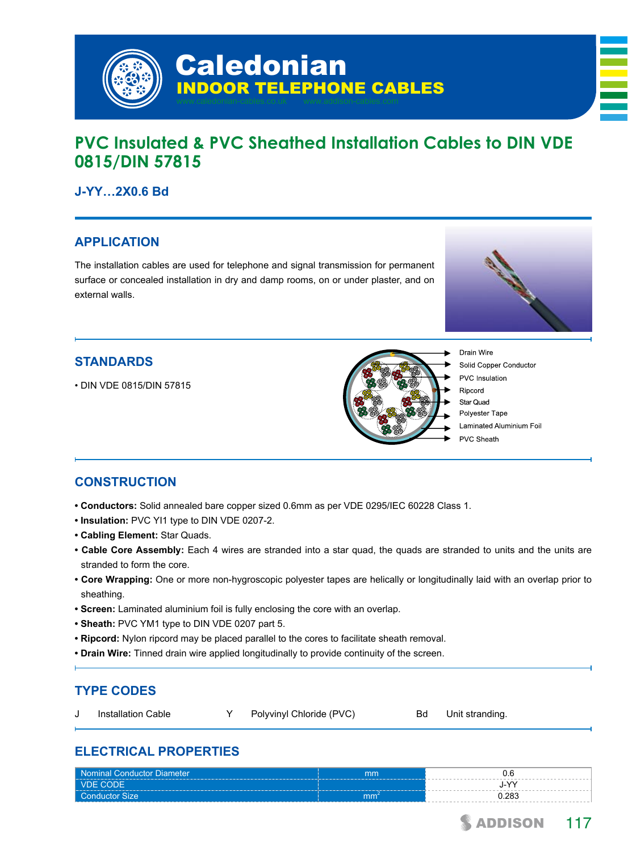

# **PVC Insulated & PVC Sheathed Installation Cables to DIN VDE 0815/DIN 57815**

# **J-YY…2X0.6 Bd**

# **APPLICATION**

The installation cables are used for telephone and signal transmission for permanent surface or concealed installation in dry and damp rooms, on or under plaster, and on external walls.



# **STANDARDS**

• DIN VDE 0815/DIN 57815



Drain Wire Solid Copper Conductor PVC Insulation Ripcord Star Quad Polyester Tape Laminated Aluminium Foil PVC Sheath

# **CONSTRUCTION**

- **Conductors:** Solid annealed bare copper sized 0.6mm as per VDE 0295/IEC 60228 Class 1.
- **Insulation:** PVC YI1 type to DIN VDE 0207-2.
- **Cabling Element:** Star Quads.
- **Cable Core Assembly:** Each 4 wires are stranded into a star quad, the quads are stranded to units and the units are stranded to form the core.
- **Core Wrapping:** One or more non-hygroscopic polyester tapes are helically or longitudinally laid with an overlap prior to sheathing.
- **Screen:** Laminated aluminium foil is fully enclosing the core with an overlap.
- **Sheath:** PVC YM1 type to DIN VDE 0207 part 5.
- **Ripcord:** Nylon ripcord may be placed parallel to the cores to facilitate sheath removal.
- **Drain Wire:** Tinned drain wire applied longitudinally to provide continuity of the screen.

# **TYPE CODES**

J Installation Cable Y Polyvinyl Chloride (PVC) Bd Unit stranding.

# **ELECTRICAL PROPERTIES**

| Nominal Conductor Diameter | mm |            |
|----------------------------|----|------------|
| <b>NDE CODE</b>            |    | $\sqrt{ }$ |
| <b>Conductor Size</b>      | mm | 0.283      |